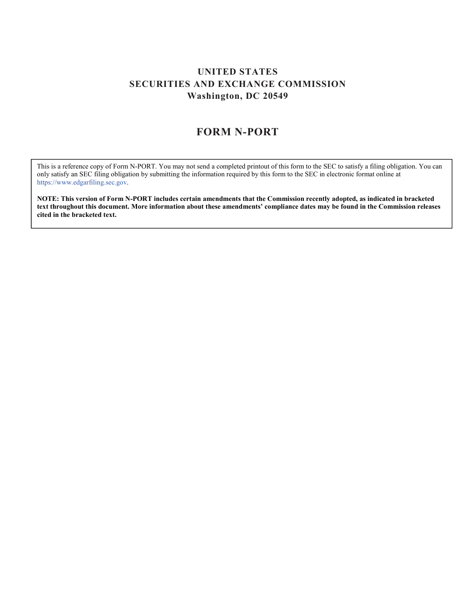## UNITED STATES SECURITIES AND EXCHANGE COMMISSION Washington, DC 20549

## FORM N-PORT

 This is a reference copy of Form N-PORT. You may not send a completed printout of this form to the SEC to satisfy a filing obligation. You can only satisfy an SEC filing obligation by submitting the information required by this form to the SEC in electronic format online at https://www.edgarfiling.sec.gov.

 NOTE: This version of Form N-PORT includes certain amendments that the Commission recently adopted, as indicated in bracketed text throughout this document. More information about these amendments' compliance dates may be found in the Commission releases cited in the bracketed text.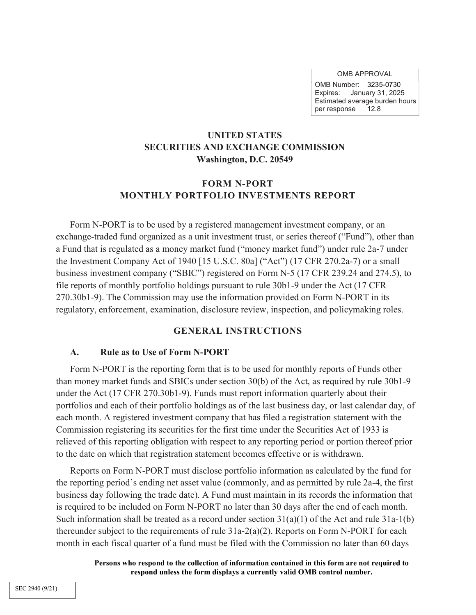OMB APPROVAL

 OMB Number: 3235-0730 Expires: January 31, 2025 Estimated average burden hours per response 12.8

## UNITED STATES SECURITIES AND EXCHANGE COMMISSION Washington, D.C. 20549

## FORM N-PORT MONTHLY PORTFOLIO INVESTMENTS REPORT

 Form N-PORT is to be used by a registered management investment company, or an exchange-traded fund organized as a unit investment trust, or series thereof ("Fund"), other than a Fund that is regulated as a money market fund ("money market fund") under rule 2a-7 under the Investment Company Act of 1940 [15 U.S.C. 80a] ("Act") (17 CFR 270.2a-7) or a small business investment company ("SBIC") registered on Form N-5 (17 CFR 239.24 and 274.5), to file reports of monthly portfolio holdings pursuant to rule 30b1-9 under the Act (17 CFR 270.30b1-9). The Commission may use the information provided on Form N-PORT in its regulatory, enforcement, examination, disclosure review, inspection, and policymaking roles.

#### GENERAL INSTRUCTIONS

#### A. Rule as to Use of Form N-PORT

 Form N-PORT is the reporting form that is to be used for monthly reports of Funds other than money market funds and SBICs under section 30(b) of the Act, as required by rule 30b1-9 under the Act (17 CFR 270.30b1-9). Funds must report information quarterly about their portfolios and each of their portfolio holdings as of the last business day, or last calendar day, of each month. A registered investment company that has filed a registration statement with the Commission registering its securities for the first time under the Securities Act of 1933 is relieved of this reporting obligation with respect to any reporting period or portion thereof prior to the date on which that registration statement becomes effective or is withdrawn.

 Reports on Form N-PORT must disclose portfolio information as calculated by the fund for the reporting period's ending net asset value (commonly, and as permitted by rule 2a-4, the first business day following the trade date). A Fund must maintain in its records the information that is required to be included on Form N-PORT no later than 30 days after the end of each month. Such information shall be treated as a record under section  $31(a)(1)$  of the Act and rule  $31a-1(b)$  thereunder subject to the requirements of rule 31a-2(a)(2). Reports on Form N-PORT for each month in each fiscal quarter of a fund must be filed with the Commission no later than 60 days

> Persons who respond to the collection of information contained in this form are not required to respond unless the form displays a currently valid OMB control number.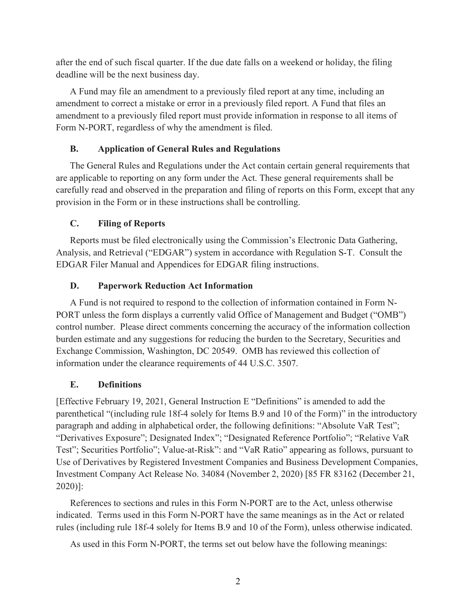after the end of such fiscal quarter. If the due date falls on a weekend or holiday, the filing deadline will be the next business day.

 A Fund may file an amendment to a previously filed report at any time, including an amendment to correct a mistake or error in a previously filed report. A Fund that files an amendment to a previously filed report must provide information in response to all items of Form N-PORT, regardless of why the amendment is filed.

### B. Application of General Rules and Regulations

 The General Rules and Regulations under the Act contain certain general requirements that are applicable to reporting on any form under the Act. These general requirements shall be carefully read and observed in the preparation and filing of reports on this Form, except that any provision in the Form or in these instructions shall be controlling.

### C. Filing of Reports

 Reports must be filed electronically using the Commission's Electronic Data Gathering, Analysis, and Retrieval ("EDGAR") system in accordance with Regulation S-T. Consult the EDGAR Filer Manual and Appendices for EDGAR filing instructions.

### D. Paperwork Reduction Act Information

 A Fund is not required to respond to the collection of information contained in Form N- PORT unless the form displays a currently valid Office of Management and Budget ("OMB") control number. Please direct comments concerning the accuracy of the information collection burden estimate and any suggestions for reducing the burden to the Secretary, Securities and Exchange Commission, Washington, DC 20549. OMB has reviewed this collection of information under the clearance requirements of 44 U.S.C. 3507.

## E. Definitions

 [Effective February 19, 2021, General Instruction E "Definitions" is amended to add the parenthetical "(including rule 18f-4 solely for Items B.9 and 10 of the Form)" in the introductory paragraph and adding in alphabetical order, the following definitions: "Absolute VaR Test"; "Derivatives Exposure"; Designated Index"; "Designated Reference Portfolio"; "Relative VaR Test"; Securities Portfolio"; Value-at-Risk": and "VaR Ratio" appearing as follows, pursuant to Use of Derivatives by Registered Investment Companies and Business Development Companies, Investment Company Act Release No. 34084 (November 2, 2020) [85 FR 83162 (December 21, 2020)]:

 References to sections and rules in this Form N-PORT are to the Act, unless otherwise indicated. Terms used in this Form N-PORT have the same meanings as in the Act or related rules (including rule 18f-4 solely for Items B.9 and 10 of the Form), unless otherwise indicated.

As used in this Form N-PORT, the terms set out below have the following meanings: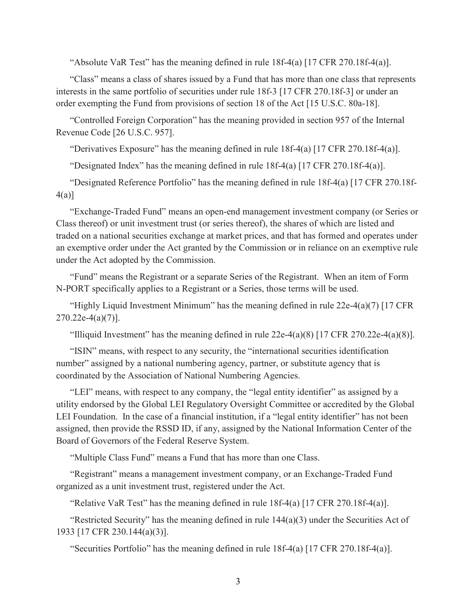"Absolute VaR Test" has the meaning defined in rule 18f-4(a) [17 CFR 270.18f-4(a)].

 "Class" means a class of shares issued by a Fund that has more than one class that represents interests in the same portfolio of securities under rule 18f-3 [17 CFR 270.18f-3] or under an order exempting the Fund from provisions of section 18 of the Act [15 U.S.C. 80a-18].

 "Controlled Foreign Corporation" has the meaning provided in section 957 of the Internal Revenue Code [26 U.S.C. 957].

"Derivatives Exposure" has the meaning defined in rule 18f-4(a) [17 CFR 270.18f-4(a)].

"Designated Index" has the meaning defined in rule 18f-4(a) [17 CFR 270.18f-4(a)].

 "Designated Reference Portfolio" has the meaning defined in rule 18f-4(a) [17 CFR 270.18f-4(a)]

 "Exchange-Traded Fund" means an open-end management investment company (or Series or Class thereof) or unit investment trust (or series thereof), the shares of which are listed and traded on a national securities exchange at market prices, and that has formed and operates under an exemptive order under the Act granted by the Commission or in reliance on an exemptive rule under the Act adopted by the Commission.

 "Fund" means the Registrant or a separate Series of the Registrant. When an item of Form N-PORT specifically applies to a Registrant or a Series, those terms will be used.

 "Highly Liquid Investment Minimum" has the meaning defined in rule 22e-4(a)(7) [17 CFR  $270.22e-4(a)(7)$ ].

"Illiquid Investment" has the meaning defined in rule  $22e-4(a)(8)$  [17 CFR  $270.22e-4(a)(8)$ ].

 "ISIN" means, with respect to any security, the "international securities identification number" assigned by a national numbering agency, partner, or substitute agency that is coordinated by the Association of National Numbering Agencies.

 "LEI" means, with respect to any company, the "legal entity identifier" as assigned by a utility endorsed by the Global LEI Regulatory Oversight Committee or accredited by the Global LEI Foundation. In the case of a financial institution, if a "legal entity identifier" has not been assigned, then provide the RSSD ID, if any, assigned by the National Information Center of the Board of Governors of the Federal Reserve System.

"Multiple Class Fund" means a Fund that has more than one Class.

 "Registrant" means a management investment company, or an Exchange-Traded Fund organized as a unit investment trust, registered under the Act.

"Relative VaR Test" has the meaning defined in rule 18f-4(a) [17 CFR 270.18f-4(a)].

"Restricted Security" has the meaning defined in rule  $144(a)(3)$  under the Securities Act of 1933 [17 CFR 230.144(a)(3)].

"Securities Portfolio" has the meaning defined in rule 18f-4(a) [17 CFR 270.18f-4(a)].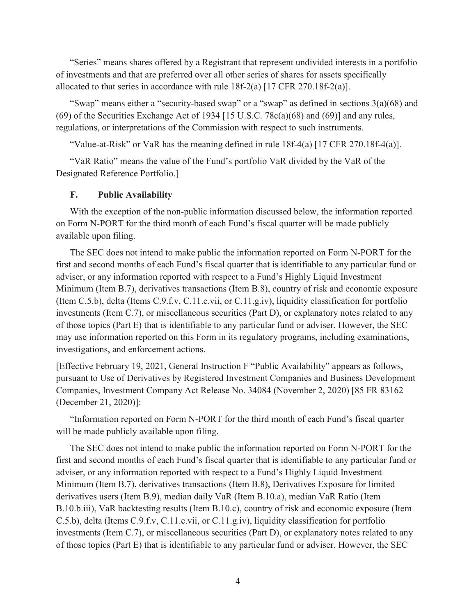"Series" means shares offered by a Registrant that represent undivided interests in a portfolio of investments and that are preferred over all other series of shares for assets specifically allocated to that series in accordance with rule  $18f-2(a)$  [17 CFR 270.18f-2(a)].

 "Swap" means either a "security-based swap" or a "swap" as defined in sections 3(a)(68) and  $(69)$  of the Securities Exchange Act of 1934 [15 U.S.C. 78 $c(a)(68)$  and  $(69)$ ] and any rules, regulations, or interpretations of the Commission with respect to such instruments.

"Value-at-Risk" or VaR has the meaning defined in rule 18f-4(a) [17 CFR 270.18f-4(a)].

 "VaR Ratio" means the value of the Fund's portfolio VaR divided by the VaR of the Designated Reference Portfolio.]

#### F. Public Availability

 With the exception of the non-public information discussed below, the information reported on Form N-PORT for the third month of each Fund's fiscal quarter will be made publicly available upon filing.

 The SEC does not intend to make public the information reported on Form N-PORT for the first and second months of each Fund's fiscal quarter that is identifiable to any particular fund or adviser, or any information reported with respect to a Fund's Highly Liquid Investment Minimum (Item B.7), derivatives transactions (Item B.8), country of risk and economic exposure (Item C.5.b), delta (Items C.9.f.v, C.11.c.vii, or C.11.g.iv), liquidity classification for portfolio investments (Item C.7), or miscellaneous securities (Part D), or explanatory notes related to any of those topics (Part E) that is identifiable to any particular fund or adviser. However, the SEC may use information reported on this Form in its regulatory programs, including examinations, investigations, and enforcement actions.

 [Effective February 19, 2021, General Instruction F "Public Availability" appears as follows, pursuant to Use of Derivatives by Registered Investment Companies and Business Development Companies, Investment Company Act Release No. 34084 (November 2, 2020) [85 FR 83162 (December 21, 2020)]:

 "Information reported on Form N-PORT for the third month of each Fund's fiscal quarter will be made publicly available upon filing.

 The SEC does not intend to make public the information reported on Form N-PORT for the first and second months of each Fund's fiscal quarter that is identifiable to any particular fund or adviser, or any information reported with respect to a Fund's Highly Liquid Investment Minimum (Item B.7), derivatives transactions (Item B.8), Derivatives Exposure for limited derivatives users (Item B.9), median daily VaR (Item B.10.a), median VaR Ratio (Item B.10.b.iii), VaR backtesting results (Item B.10.c), country of risk and economic exposure (Item C.5.b), delta (Items C.9.f.v, C.11.c.vii, or C.11.g.iv), liquidity classification for portfolio investments (Item C.7), or miscellaneous securities (Part D), or explanatory notes related to any of those topics (Part E) that is identifiable to any particular fund or adviser. However, the SEC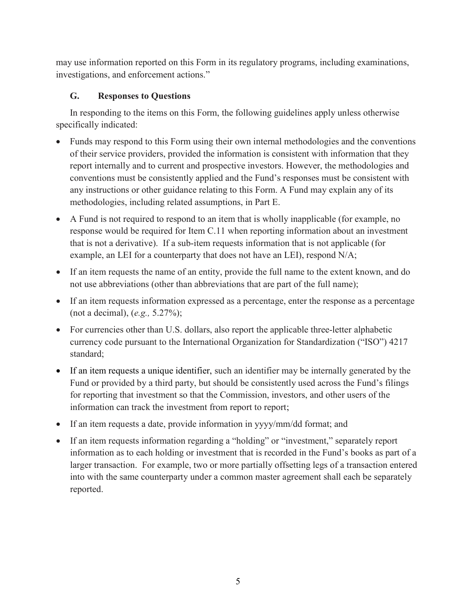may use information reported on this Form in its regulatory programs, including examinations, investigations, and enforcement actions."

# G. Responses to Questions

 In responding to the items on this Form, the following guidelines apply unless otherwise specifically indicated:

- Funds may respond to this Form using their own internal methodologies and the conventions of their service providers, provided the information is consistent with information that they report internally and to current and prospective investors. However, the methodologies and conventions must be consistently applied and the Fund's responses must be consistent with any instructions or other guidance relating to this Form. A Fund may explain any of its methodologies, including related assumptions, in Part E.
- A Fund is not required to respond to an item that is wholly inapplicable (for example, no response would be required for Item C.11 when reporting information about an investment that is not a derivative). If a sub-item requests information that is not applicable (for example, an LEI for a counterparty that does not have an LEI), respond N/A;
- If an item requests the name of an entity, provide the full name to the extent known, and do not use abbreviations (other than abbreviations that are part of the full name);
- If an item requests information expressed as a percentage, enter the response as a percentage (not a decimal), (e.g., 5.27%);
- For currencies other than U.S. dollars, also report the applicable three-letter alphabetic currency code pursuant to the International Organization for Standardization ("ISO") 4217 standard;
- If an item requests a unique identifier, such an identifier may be internally generated by the Fund or provided by a third party, but should be consistently used across the Fund's filings for reporting that investment so that the Commission, investors, and other users of the information can track the investment from report to report;
- If an item requests a date, provide information in yyyy/mm/dd format; and
- If an item requests information regarding a "holding" or "investment," separately report information as to each holding or investment that is recorded in the Fund's books as part of a larger transaction. For example, two or more partially offsetting legs of a transaction entered into with the same counterparty under a common master agreement shall each be separately reported.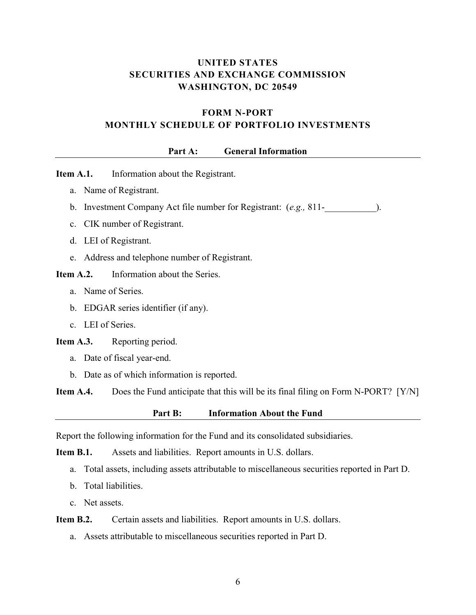## UNITED STATES SECURITIES AND EXCHANGE COMMISSION WASHINGTON, DC 20549

## FORM N-PORT MONTHLY SCHEDULE OF PORTFOLIO INVESTMENTS

#### Part A: General Information

Item A.1. Information about the Registrant.

- a. Name of Registrant.
- b. Investment Company Act file number for Registrant:  $(e.g., 811--$
- c. CIK number of Registrant.
- d. LEI of Registrant.
- e. Address and telephone number of Registrant.
- Item A.2. Information about the Series.
	- a. Name of Series.
	- b. EDGAR series identifier (if any).
	- c. LEI of Series.

Item A.3. Reporting period.

- a. Date of fiscal year-end.
- b. Date as of which information is reported.

**Item A.4.** Does the Fund anticipate that this will be its final filing on Form N-PORT? [Y/N]

Part B: Information About the Fund

Report the following information for the Fund and its consolidated subsidiaries.

Item B.1. Assets and liabilities. Report amounts in U.S. dollars.

- a. Total assets, including assets attributable to miscellaneous securities reported in Part D.
- b. Total liabilities.
- c. Net assets.

#### Item B.2. Certain assets and liabilities. Report amounts in U.S. dollars.

a. Assets attributable to miscellaneous securities reported in Part D.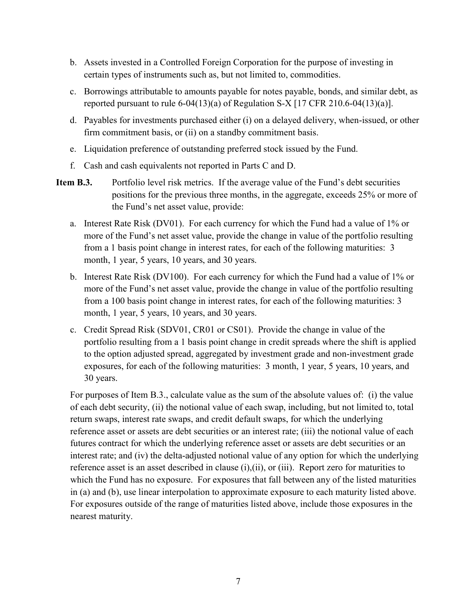- b. Assets invested in a Controlled Foreign Corporation for the purpose of investing in certain types of instruments such as, but not limited to, commodities.
- c. Borrowings attributable to amounts payable for notes payable, bonds, and similar debt, as reported pursuant to rule  $6-04(13)(a)$  of Regulation S-X [17 CFR 210.6-04(13)(a)].
- d. Payables for investments purchased either (i) on a delayed delivery, when-issued, or other firm commitment basis, or (ii) on a standby commitment basis.
- e. Liquidation preference of outstanding preferred stock issued by the Fund.
- f. Cash and cash equivalents not reported in Parts C and D.
- Item B.3. Portfolio level risk metrics. If the average value of the Fund's debt securities positions for the previous three months, in the aggregate, exceeds 25% or more of the Fund's net asset value, provide:
	- a. Interest Rate Risk (DV01). For each currency for which the Fund had a value of 1% or more of the Fund's net asset value, provide the change in value of the portfolio resulting from a 1 basis point change in interest rates, for each of the following maturities: 3 month, 1 year, 5 years, 10 years, and 30 years.
	- b. Interest Rate Risk (DV100). For each currency for which the Fund had a value of 1% or more of the Fund's net asset value, provide the change in value of the portfolio resulting from a 100 basis point change in interest rates, for each of the following maturities: 3 month, 1 year, 5 years, 10 years, and 30 years.
	- c. Credit Spread Risk (SDV01, CR01 or CS01). Provide the change in value of the portfolio resulting from a 1 basis point change in credit spreads where the shift is applied to the option adjusted spread, aggregated by investment grade and non-investment grade exposures, for each of the following maturities: 3 month, 1 year, 5 years, 10 years, and 30 years.

 For purposes of Item B.3., calculate value as the sum of the absolute values of: (i) the value of each debt security, (ii) the notional value of each swap, including, but not limited to, total return swaps, interest rate swaps, and credit default swaps, for which the underlying reference asset or assets are debt securities or an interest rate; (iii) the notional value of each futures contract for which the underlying reference asset or assets are debt securities or an interest rate; and (iv) the delta-adjusted notional value of any option for which the underlying reference asset is an asset described in clause (i),(ii), or (iii). Report zero for maturities to which the Fund has no exposure. For exposures that fall between any of the listed maturities in (a) and (b), use linear interpolation to approximate exposure to each maturity listed above. For exposures outside of the range of maturities listed above, include those exposures in the nearest maturity.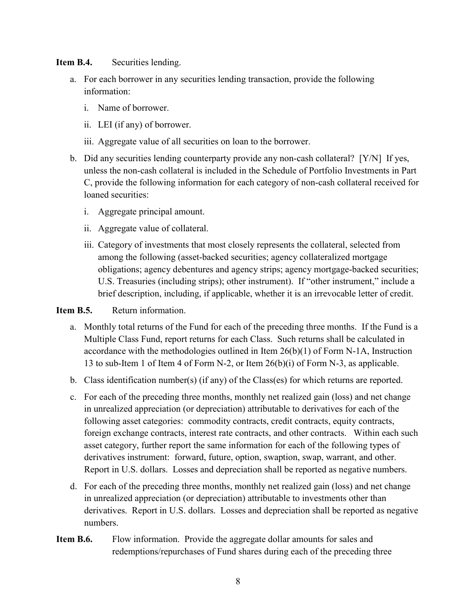Item B.4. Securities lending.

- a. For each borrower in any securities lending transaction, provide the following information:
	- i. Name of borrower.
	- ii. LEI (if any) of borrower.
	- iii. Aggregate value of all securities on loan to the borrower.
- b. Did any securities lending counterparty provide any non-cash collateral? [Y/N] If yes, unless the non-cash collateral is included in the Schedule of Portfolio Investments in Part C, provide the following information for each category of non-cash collateral received for loaned securities:
	- i. Aggregate principal amount.
	- ii. Aggregate value of collateral.
	- iii. Category of investments that most closely represents the collateral, selected from among the following (asset-backed securities; agency collateralized mortgage obligations; agency debentures and agency strips; agency mortgage-backed securities; U.S. Treasuries (including strips); other instrument). If "other instrument," include a brief description, including, if applicable, whether it is an irrevocable letter of credit.

## Item B.5. Return information.

- a. Monthly total returns of the Fund for each of the preceding three months. If the Fund is a Multiple Class Fund, report returns for each Class. Such returns shall be calculated in accordance with the methodologies outlined in Item 26(b)(1) of Form N-1A, Instruction 13 to sub-Item 1 of Item 4 of Form N-2, or Item 26(b)(i) of Form N-3, as applicable.
- b. Class identification number(s) (if any) of the Class(es) for which returns are reported.
- c. For each of the preceding three months, monthly net realized gain (loss) and net change in unrealized appreciation (or depreciation) attributable to derivatives for each of the following asset categories: commodity contracts, credit contracts, equity contracts, foreign exchange contracts, interest rate contracts, and other contracts. Within each such asset category, further report the same information for each of the following types of derivatives instrument: forward, future, option, swaption, swap, warrant, and other. Report in U.S. dollars. Losses and depreciation shall be reported as negative numbers.
- d. For each of the preceding three months, monthly net realized gain (loss) and net change in unrealized appreciation (or depreciation) attributable to investments other than derivatives. Report in U.S. dollars. Losses and depreciation shall be reported as negative numbers.
- Item B.6. Flow information. Provide the aggregate dollar amounts for sales and redemptions/repurchases of Fund shares during each of the preceding three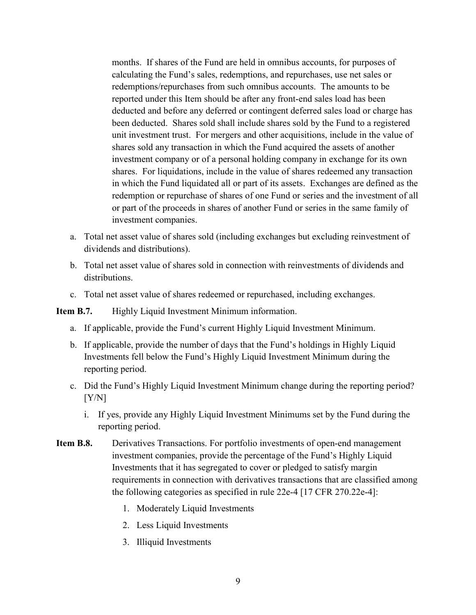months. If shares of the Fund are held in omnibus accounts, for purposes of calculating the Fund's sales, redemptions, and repurchases, use net sales or redemptions/repurchases from such omnibus accounts. The amounts to be reported under this Item should be after any front-end sales load has been deducted and before any deferred or contingent deferred sales load or charge has been deducted. Shares sold shall include shares sold by the Fund to a registered unit investment trust. For mergers and other acquisitions, include in the value of shares sold any transaction in which the Fund acquired the assets of another investment company or of a personal holding company in exchange for its own shares. For liquidations, include in the value of shares redeemed any transaction in which the Fund liquidated all or part of its assets. Exchanges are defined as the redemption or repurchase of shares of one Fund or series and the investment of all or part of the proceeds in shares of another Fund or series in the same family of investment companies.

- a. Total net asset value of shares sold (including exchanges but excluding reinvestment of dividends and distributions).
- b. Total net asset value of shares sold in connection with reinvestments of dividends and distributions.
- c. Total net asset value of shares redeemed or repurchased, including exchanges.

Item B.7. Highly Liquid Investment Minimum information.

- a. If applicable, provide the Fund's current Highly Liquid Investment Minimum.
- b. If applicable, provide the number of days that the Fund's holdings in Highly Liquid Investments fell below the Fund's Highly Liquid Investment Minimum during the reporting period.
- c. Did the Fund's Highly Liquid Investment Minimum change during the reporting period?  $[Y/N]$ 
	- i. If yes, provide any Highly Liquid Investment Minimums set by the Fund during the reporting period.
- Item B.8. Derivatives Transactions. For portfolio investments of open-end management investment companies, provide the percentage of the Fund's Highly Liquid Investments that it has segregated to cover or pledged to satisfy margin requirements in connection with derivatives transactions that are classified among the following categories as specified in rule 22e-4 [17 CFR 270.22e-4]:
	- 1. Moderately Liquid Investments
	- 2. Less Liquid Investments
	- 3. Illiquid Investments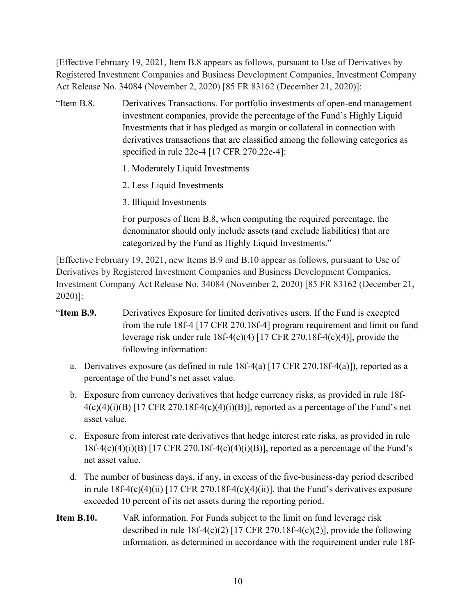[Effective February 19, 2021, Item B.8 appears as follows, pursuant to Use of Derivatives by Registered Investment Companies and Business Development Companies, Investment Company Act Release No. 34084 (November 2, 2020) [85 FR 83162 (December 21, 2020)]:

"Item B.8. investment companies, provide the percentage of the Fund's Highly Liquid Investments that it has pledged as margin or collateral in connection with derivatives transactions that are classified among the following categories as specified in rule 22e-4 [17 CFR 270.22e-4]: Derivatives Transactions. For portfolio investments of open-end management

- 1. Moderately Liquid Investments
- 2. Less Liquid Investments
- 3. Illiquid Investments

 For purposes of Item B.8, when computing the required percentage, the denominator should only include assets (and exclude liabilities) that are categorized by the Fund as Highly Liquid Investments."

 [Effective February 19, 2021, new Items B.9 and B.10 appear as follows, pursuant to Use of Derivatives by Registered Investment Companies and Business Development Companies, Investment Company Act Release No. 34084 (November 2, 2020) [85 FR 83162 (December 21, 2020)]:

- "Item B.9. Derivatives Exposure for limited derivatives users. If the Fund is excepted from the rule 18f-4 [17 CFR 270.18f-4] program requirement and limit on fund leverage risk under rule 18f-4(c)(4) [17 CFR 270.18f-4(c)(4)], provide the following information:
	- a. Derivatives exposure (as defined in rule 18f-4(a) [17 CFR 270.18f-4(a)]), reported as a percentage of the Fund's net asset value.
	- b. Exposure from currency derivatives that hedge currency risks, as provided in rule 18f- $4(c)(4)(i)(B)$  [17 CFR 270.18f-4(c)(4)(i)(B)], reported as a percentage of the Fund's net asset value.
	- c. Exposure from interest rate derivatives that hedge interest rate risks, as provided in rule 18f-4(c)(4)(i)(B) [17 CFR 270.18f-4(c)(4)(i)(B)], reported as a percentage of the Fund's net asset value.
	- d. The number of business days, if any, in excess of the five-business-day period described in rule 18f-4(c)(4)(ii) [17 CFR 270.18f-4(c)(4)(ii)], that the Fund's derivatives exposure exceeded 10 percent of its net assets during the reporting period.
- **Item B.10.**  described in rule 18f-4(c)(2) [17 CFR 270.18f-4(c)(2)], provide the following information, as determined in accordance with the requirement under rule 18f-VaR information. For Funds subject to the limit on fund leverage risk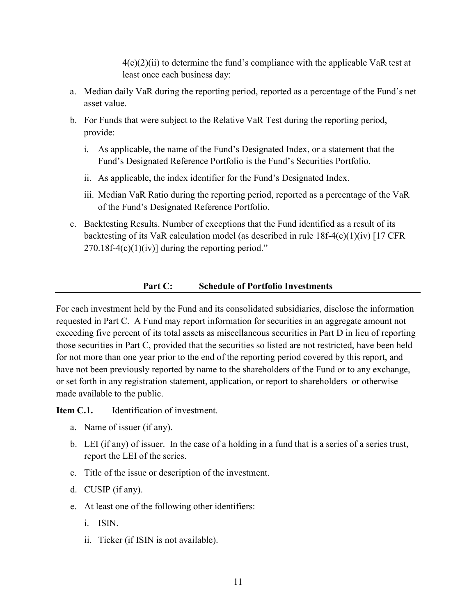$4(c)(2)(ii)$  to determine the fund's compliance with the applicable VaR test at least once each business day:

- a. Median daily VaR during the reporting period, reported as a percentage of the Fund's net asset value.
- b. For Funds that were subject to the Relative VaR Test during the reporting period, provide:
	- i. As applicable, the name of the Fund's Designated Index, or a statement that the Fund's Designated Reference Portfolio is the Fund's Securities Portfolio.
	- ii. As applicable, the index identifier for the Fund's Designated Index.
	- iii. Median VaR Ratio during the reporting period, reported as a percentage of the VaR of the Fund's Designated Reference Portfolio.
- c. Backtesting Results. Number of exceptions that the Fund identified as a result of its backtesting of its VaR calculation model (as described in rule 18f-4(c)(1)(iv) [17 CFR  $270.18f-4(c)(1)(iv)]$  during the reporting period."

#### Part C: Schedule of Portfolio Investments

 For each investment held by the Fund and its consolidated subsidiaries, disclose the information requested in Part C. A Fund may report information for securities in an aggregate amount not exceeding five percent of its total assets as miscellaneous securities in Part D in lieu of reporting those securities in Part C, provided that the securities so listed are not restricted, have been held for not more than one year prior to the end of the reporting period covered by this report, and have not been previously reported by name to the shareholders of the Fund or to any exchange, or set forth in any registration statement, application, or report to shareholders or otherwise made available to the public.

Item C.1. Identification of investment.

- a. Name of issuer (if any).
- b. LEI (if any) of issuer. In the case of a holding in a fund that is a series of a series trust, report the LEI of the series.
- c. Title of the issue or description of the investment.
- d. CUSIP (if any).
- e. At least one of the following other identifiers:
	- i. ISIN.
	- ii. Ticker (if ISIN is not available).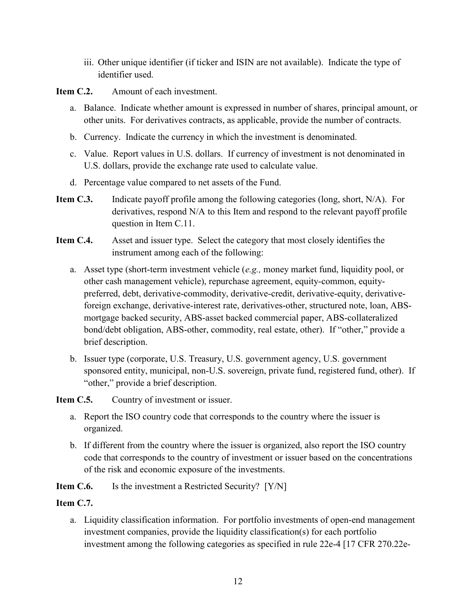iii. Other unique identifier (if ticker and ISIN are not available). Indicate the type of identifier used.

Item C.2. Amount of each investment.

- a. Balance. Indicate whether amount is expressed in number of shares, principal amount, or other units. For derivatives contracts, as applicable, provide the number of contracts.
- b. Currency. Indicate the currency in which the investment is denominated.
- c. Value. Report values in U.S. dollars. If currency of investment is not denominated in U.S. dollars, provide the exchange rate used to calculate value.
- d. Percentage value compared to net assets of the Fund.
- Item C.3. Indicate payoff profile among the following categories (long, short, N/A). For derivatives, respond N/A to this Item and respond to the relevant payoff profile question in Item C.11.
- Item C.4. Asset and issuer type. Select the category that most closely identifies the instrument among each of the following:
	- a. Asset type (short-term investment vehicle (e.g., money market fund, liquidity pool, or other cash management vehicle), repurchase agreement, equity-common, equity- preferred, debt, derivative-commodity, derivative-credit, derivative-equity, derivative- foreign exchange, derivative-interest rate, derivatives-other, structured note, loan, ABS- mortgage backed security, ABS-asset backed commercial paper, ABS-collateralized bond/debt obligation, ABS-other, commodity, real estate, other). If "other," provide a brief description.
	- b. Issuer type (corporate, U.S. Treasury, U.S. government agency, U.S. government sponsored entity, municipal, non-U.S. sovereign, private fund, registered fund, other). If "other," provide a brief description.

**Item C.5.** Country of investment or issuer.

- a. Report the ISO country code that corresponds to the country where the issuer is organized.
- b. If different from the country where the issuer is organized, also report the ISO country code that corresponds to the country of investment or issuer based on the concentrations of the risk and economic exposure of the investments.
- Item C.6. Is the investment a Restricted Security? [Y/N]

### Item C.7.

 a. Liquidity classification information. For portfolio investments of open-end management investment companies, provide the liquidity classification(s) for each portfolio investment among the following categories as specified in rule 22e-4 [17 CFR 270.22e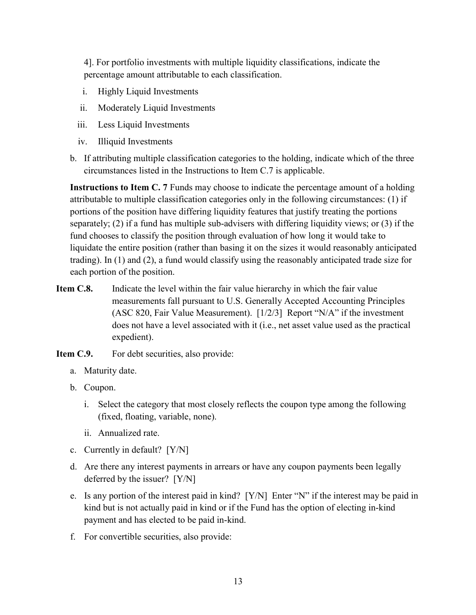4]. For portfolio investments with multiple liquidity classifications, indicate the percentage amount attributable to each classification.

- i. Highly Liquid Investments
- ii. Moderately Liquid Investments
- iii. Less Liquid Investments
- iv. Illiquid Investments
- b. If attributing multiple classification categories to the holding, indicate which of the three circumstances listed in the Instructions to Item C.7 is applicable.

Instructions to Item C. 7 Funds may choose to indicate the percentage amount of a holding attributable to multiple classification categories only in the following circumstances: (1) if portions of the position have differing liquidity features that justify treating the portions separately; (2) if a fund has multiple sub-advisers with differing liquidity views; or (3) if the fund chooses to classify the position through evaluation of how long it would take to liquidate the entire position (rather than basing it on the sizes it would reasonably anticipated trading). In (1) and (2), a fund would classify using the reasonably anticipated trade size for each portion of the position.

- Item C.8. Indicate the level within the fair value hierarchy in which the fair value measurements fall pursuant to U.S. Generally Accepted Accounting Principles (ASC 820, Fair Value Measurement). [1/2/3] Report "N/A" if the investment does not have a level associated with it (i.e., net asset value used as the practical expedient).
- Item C.9. For debt securities, also provide:
	- a. Maturity date.
	- b. Coupon.
		- i. Select the category that most closely reflects the coupon type among the following (fixed, floating, variable, none).
		- ii. Annualized rate.
	- c. Currently in default? [Y/N]
	- d. Are there any interest payments in arrears or have any coupon payments been legally deferred by the issuer? [Y/N]
	- e. Is any portion of the interest paid in kind? [Y/N] Enter "N" if the interest may be paid in kind but is not actually paid in kind or if the Fund has the option of electing in-kind payment and has elected to be paid in-kind.
	- f. For convertible securities, also provide: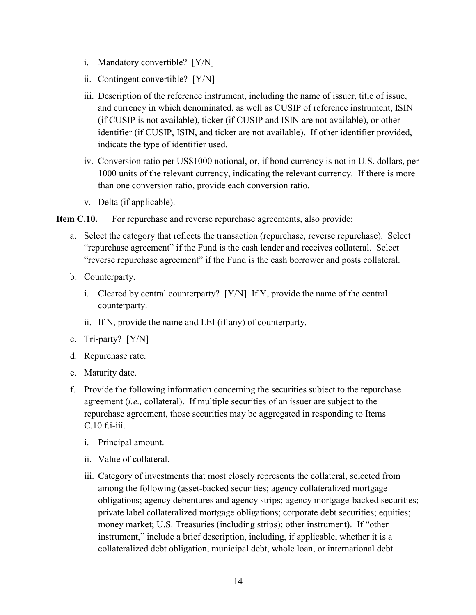- i. Mandatory convertible? [Y/N]
- ii. Contingent convertible? [Y/N]
- iii. Description of the reference instrument, including the name of issuer, title of issue, and currency in which denominated, as well as CUSIP of reference instrument, ISIN (if CUSIP is not available), ticker (if CUSIP and ISIN are not available), or other identifier (if CUSIP, ISIN, and ticker are not available). If other identifier provided, indicate the type of identifier used.
- iv. Conversion ratio per US\$1000 notional, or, if bond currency is not in U.S. dollars, per 1000 units of the relevant currency, indicating the relevant currency. If there is more than one conversion ratio, provide each conversion ratio.
- v. Delta (if applicable).

Item C.10. For repurchase and reverse repurchase agreements, also provide:

- a. Select the category that reflects the transaction (repurchase, reverse repurchase). Select "repurchase agreement" if the Fund is the cash lender and receives collateral. Select "reverse repurchase agreement" if the Fund is the cash borrower and posts collateral.
- b. Counterparty.
	- i. Cleared by central counterparty? [Y/N] If Y, provide the name of the central counterparty.
	- ii. If N, provide the name and LEI (if any) of counterparty.
- c. Tri-party? [Y/N]
- d. Repurchase rate.
- e. Maturity date.
- f. Provide the following information concerning the securities subject to the repurchase agreement (i.e., collateral). If multiple securities of an issuer are subject to the repurchase agreement, those securities may be aggregated in responding to Items C.10.f.i-iii.
	- i. Principal amount.
	- ii. Value of collateral.
	- iii. Category of investments that most closely represents the collateral, selected from among the following (asset-backed securities; agency collateralized mortgage obligations; agency debentures and agency strips; agency mortgage-backed securities; private label collateralized mortgage obligations; corporate debt securities; equities; money market; U.S. Treasuries (including strips); other instrument). If "other instrument," include a brief description, including, if applicable, whether it is a collateralized debt obligation, municipal debt, whole loan, or international debt.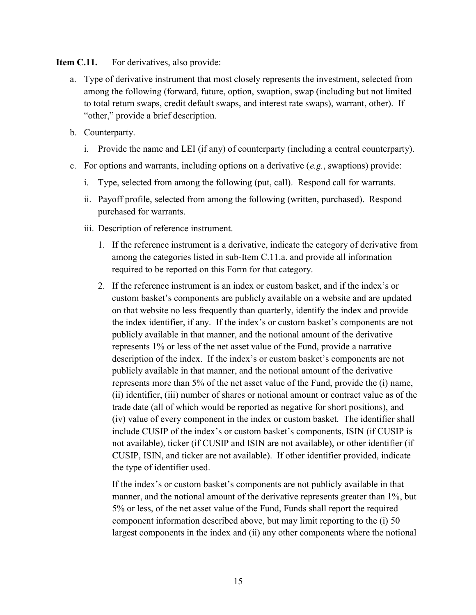Item C.11. For derivatives, also provide:

- a. Type of derivative instrument that most closely represents the investment, selected from among the following (forward, future, option, swaption, swap (including but not limited to total return swaps, credit default swaps, and interest rate swaps), warrant, other). If "other," provide a brief description.
- b. Counterparty.
	- i. Provide the name and LEI (if any) of counterparty (including a central counterparty).
- c. For options and warrants, including options on a derivative  $(e.g.,$  swaptions) provide:
	- i. Type, selected from among the following (put, call). Respond call for warrants.
	- ii. Payoff profile, selected from among the following (written, purchased). Respond purchased for warrants.
	- iii. Description of reference instrument.
		- 1. If the reference instrument is a derivative, indicate the category of derivative from among the categories listed in sub-Item C.11.a. and provide all information required to be reported on this Form for that category.
		- 2. If the reference instrument is an index or custom basket, and if the index's or custom basket's components are publicly available on a website and are updated on that website no less frequently than quarterly, identify the index and provide the index identifier, if any. If the index's or custom basket's components are not publicly available in that manner, and the notional amount of the derivative represents 1% or less of the net asset value of the Fund, provide a narrative description of the index. If the index's or custom basket's components are not publicly available in that manner, and the notional amount of the derivative represents more than 5% of the net asset value of the Fund, provide the (i) name, (ii) identifier, (iii) number of shares or notional amount or contract value as of the trade date (all of which would be reported as negative for short positions), and (iv) value of every component in the index or custom basket. The identifier shall include CUSIP of the index's or custom basket's components, ISIN (if CUSIP is not available), ticker (if CUSIP and ISIN are not available), or other identifier (if CUSIP, ISIN, and ticker are not available). If other identifier provided, indicate the type of identifier used.

 If the index's or custom basket's components are not publicly available in that manner, and the notional amount of the derivative represents greater than 1%, but 5% or less, of the net asset value of the Fund, Funds shall report the required component information described above, but may limit reporting to the (i) 50 largest components in the index and (ii) any other components where the notional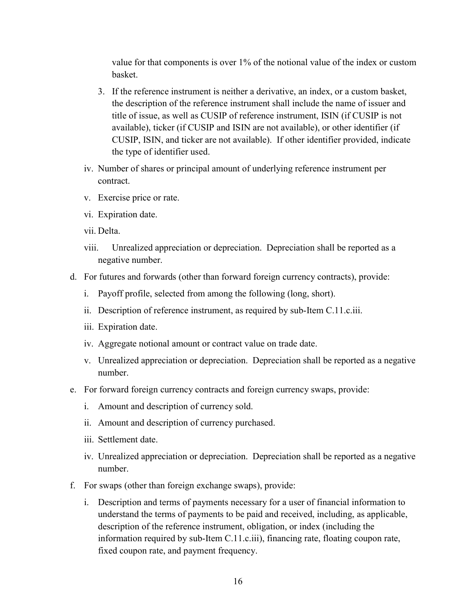value for that components is over 1% of the notional value of the index or custom basket.

- 3. If the reference instrument is neither a derivative, an index, or a custom basket, the description of the reference instrument shall include the name of issuer and title of issue, as well as CUSIP of reference instrument, ISIN (if CUSIP is not available), ticker (if CUSIP and ISIN are not available), or other identifier (if CUSIP, ISIN, and ticker are not available). If other identifier provided, indicate the type of identifier used.
- iv. Number of shares or principal amount of underlying reference instrument per contract.
- v. Exercise price or rate.
- vi. Expiration date.
- vii. Delta.
- viii. Unrealized appreciation or depreciation. Depreciation shall be reported as a negative number.
- d. For futures and forwards (other than forward foreign currency contracts), provide:
	- i. Payoff profile, selected from among the following (long, short).
	- ii. Description of reference instrument, as required by sub-Item C.11.c.iii.
	- iii. Expiration date.
	- iv. Aggregate notional amount or contract value on trade date.
	- v. Unrealized appreciation or depreciation. Depreciation shall be reported as a negative number.
- e. For forward foreign currency contracts and foreign currency swaps, provide:
	- i. Amount and description of currency sold.
	- ii. Amount and description of currency purchased.
	- iii. Settlement date.
	- iv. Unrealized appreciation or depreciation. Depreciation shall be reported as a negative number.
- f. For swaps (other than foreign exchange swaps), provide:
	- i. Description and terms of payments necessary for a user of financial information to understand the terms of payments to be paid and received, including, as applicable, description of the reference instrument, obligation, or index (including the information required by sub-Item C.11.c.iii), financing rate, floating coupon rate, fixed coupon rate, and payment frequency.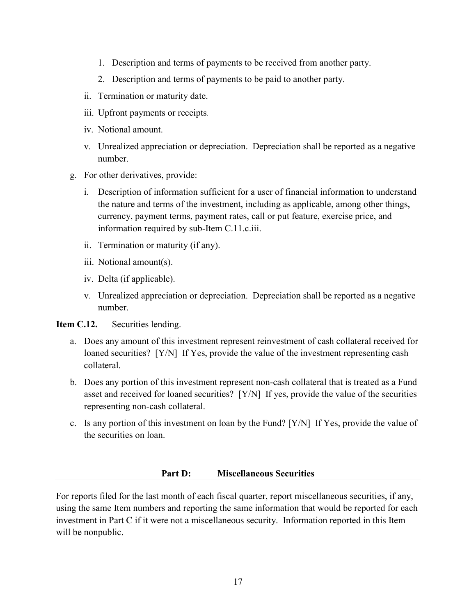- 1. Description and terms of payments to be received from another party.
- 2. Description and terms of payments to be paid to another party.
- ii. Termination or maturity date.
- iii. Upfront payments or receipts.
- iv. Notional amount.
- v. Unrealized appreciation or depreciation. Depreciation shall be reported as a negative number.
- g. For other derivatives, provide:
	- i. Description of information sufficient for a user of financial information to understand the nature and terms of the investment, including as applicable, among other things, currency, payment terms, payment rates, call or put feature, exercise price, and information required by sub-Item C.11.c.iii.
	- ii. Termination or maturity (if any).
	- iii. Notional amount(s).
	- iv. Delta (if applicable).
	- v. Unrealized appreciation or depreciation. Depreciation shall be reported as a negative number.

Item C.12. Securities lending.

- a. Does any amount of this investment represent reinvestment of cash collateral received for loaned securities? [Y/N] If Yes, provide the value of the investment representing cash collateral.
- b. Does any portion of this investment represent non-cash collateral that is treated as a Fund asset and received for loaned securities? [Y/N] If yes, provide the value of the securities representing non-cash collateral.
- c. Is any portion of this investment on loan by the Fund? [Y/N] If Yes, provide the value of the securities on loan.

### Part D: Miscellaneous Securities

 For reports filed for the last month of each fiscal quarter, report miscellaneous securities, if any, using the same Item numbers and reporting the same information that would be reported for each investment in Part C if it were not a miscellaneous security. Information reported in this Item will be nonpublic.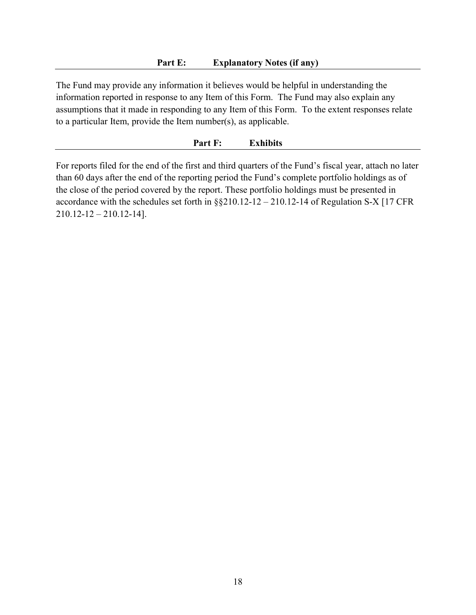The Fund may provide any information it believes would be helpful in understanding the information reported in response to any Item of this Form. The Fund may also explain any assumptions that it made in responding to any Item of this Form. To the extent responses relate to a particular Item, provide the Item number(s), as applicable.

#### Part F: Exhibits

 For reports filed for the end of the first and third quarters of the Fund's fiscal year, attach no later than 60 days after the end of the reporting period the Fund's complete portfolio holdings as of the close of the period covered by the report. These portfolio holdings must be presented in accordance with the schedules set forth in §§210.12-12 – 210.12-14 of Regulation S-X [17 CFR 210.12-12 – 210.12-14].